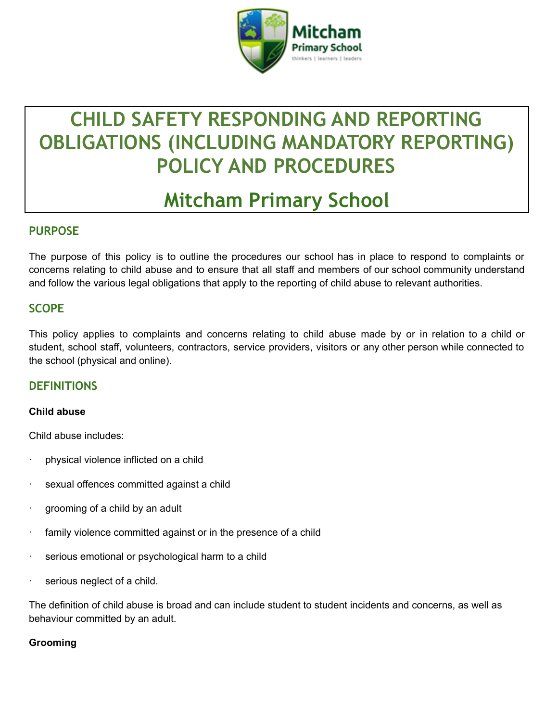

# **CHILD SAFETY RESPONDING AND REPORTING OBLIGATIONS (INCLUDING MANDATORY REPORTING) POLICY AND PROCEDURES**

# **Mitcham Primary School**

## **PURPOSE**

The purpose of this policy is to outline the procedures our school has in place to respond to complaints or concerns relating to child abuse and to ensure that all staff and members of our school community understand and follow the various legal obligations that apply to the reporting of child abuse to relevant authorities.

# **SCOPE**

This policy applies to complaints and concerns relating to child abuse made by or in relation to a child or student, school staff, volunteers, contractors, service providers, visitors or any other person while connected to the school (physical and online).

## **DEFINITIONS**

#### **Child abuse**

Child abuse includes:

- physical violence inflicted on a child
- sexual offences committed against a child
- grooming of a child by an adult
- family violence committed against or in the presence of a child
- serious emotional or psychological harm to a child
- serious neglect of a child.

The definition of child abuse is broad and can include student to student incidents and concerns, as well as behaviour committed by an adult.

#### **Grooming**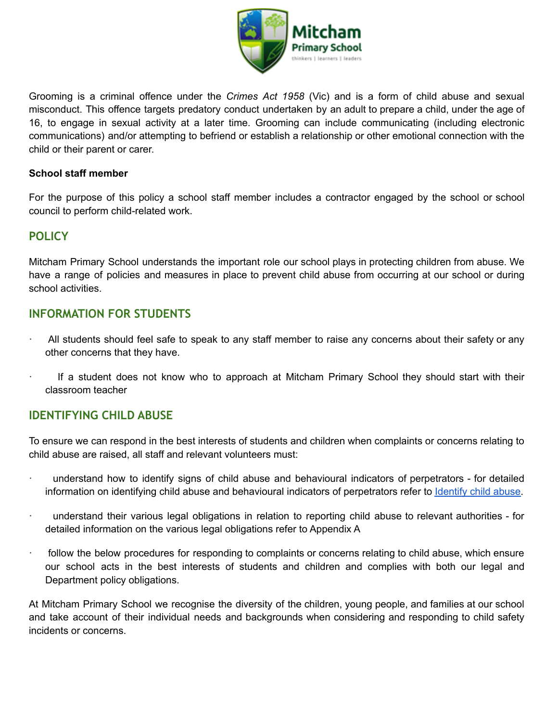

Grooming is a criminal offence under the *Crimes Act 1958* (Vic) and is a form of child abuse and sexual misconduct. This offence targets predatory conduct undertaken by an adult to prepare a child, under the age of 16, to engage in sexual activity at a later time. Grooming can include communicating (including electronic communications) and/or attempting to befriend or establish a relationship or other emotional connection with the child or their parent or carer.

#### **School staff member**

For the purpose of this policy a school staff member includes a contractor engaged by the school or school council to perform child-related work.

# **POLICY**

Mitcham Primary School understands the important role our school plays in protecting children from abuse. We have a range of policies and measures in place to prevent child abuse from occurring at our school or during school activities.

## **INFORMATION FOR STUDENTS**

- · All students should feel safe to speak to any staff member to raise any concerns about their safety or any other concerns that they have.
- If a student does not know who to approach at Mitcham Primary School they should start with their classroom teacher

## **IDENTIFYING CHILD ABUSE**

To ensure we can respond in the best interests of students and children when complaints or concerns relating to child abuse are raised, all staff and relevant volunteers must:

- · understand how to identify signs of child abuse and behavioural indicators of perpetrators for detailed information on identifying child abuse and behavioural indicators of perpetrators refer to [Identify](https://www.education.vic.gov.au/school/teachers/health/childprotection/Pages/identify.aspx) child abuse.
- understand their various legal obligations in relation to reporting child abuse to relevant authorities for detailed information on the various legal obligations refer to Appendix A
- follow the below procedures for responding to complaints or concerns relating to child abuse, which ensure our school acts in the best interests of students and children and complies with both our legal and Department policy obligations.

At Mitcham Primary School we recognise the diversity of the children, young people, and families at our school and take account of their individual needs and backgrounds when considering and responding to child safety incidents or concerns.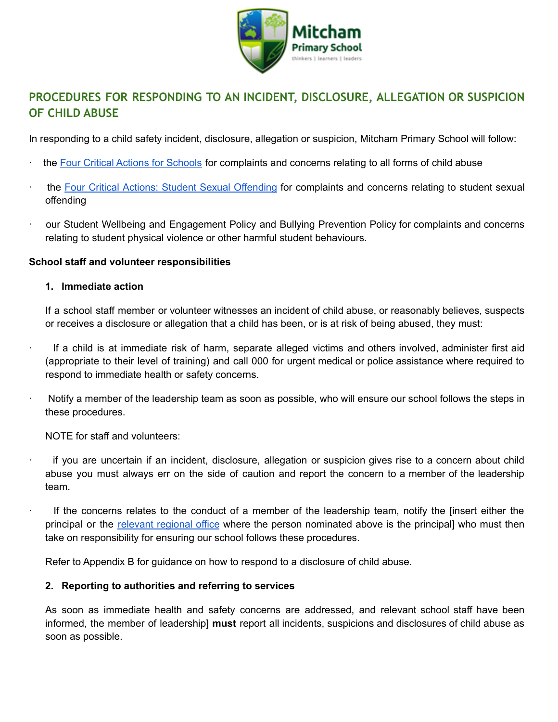

# **PROCEDURES FOR RESPONDING TO AN INCIDENT, DISCLOSURE, ALLEGATION OR SUSPICION OF CHILD ABUSE**

In responding to a child safety incident, disclosure, allegation or suspicion, Mitcham Primary School will follow:

- the Four Critical Actions for [Schools](https://www.education.vic.gov.au/Documents/about/programs/health/protect/FourCriticalActions_ChildAbuse.pdf) for complaints and concerns relating to all forms of child abuse
- the Four Critical Actions: Student Sexual [Offending](https://www.education.vic.gov.au/school/teachers/health/childprotection/Pages/stusexual.aspx) for complaints and concerns relating to student sexual offending
- our Student Wellbeing and Engagement Policy and Bullying Prevention Policy for complaints and concerns relating to student physical violence or other harmful student behaviours.

#### **School staff and volunteer responsibilities**

#### **1. Immediate action**

If a school staff member or volunteer witnesses an incident of child abuse, or reasonably believes, suspects or receives a disclosure or allegation that a child has been, or is at risk of being abused, they must:

- · If a child is at immediate risk of harm, separate alleged victims and others involved, administer first aid (appropriate to their level of training) and call 000 for urgent medical or police assistance where required to respond to immediate health or safety concerns.
- · Notify a member of the leadership team as soon as possible, who will ensure our school follows the steps in these procedures.
	- NOTE for staff and volunteers:
- · if you are uncertain if an incident, disclosure, allegation or suspicion gives rise to a concern about child abuse you must always err on the side of caution and report the concern to a member of the leadership team.
- If the concerns relates to the conduct of a member of the leadership team, notify the [insert either the principal or the relevant [regional](https://www.vic.gov.au/contact-us-department-education-and-training#regional-office-contact-list) office where the person nominated above is the principal] who must then take on responsibility for ensuring our school follows these procedures.

Refer to Appendix B for guidance on how to respond to a disclosure of child abuse.

#### **2. Reporting to authorities and referring to services**

As soon as immediate health and safety concerns are addressed, and relevant school staff have been informed, the member of leadership] **must** report all incidents, suspicions and disclosures of child abuse as soon as possible.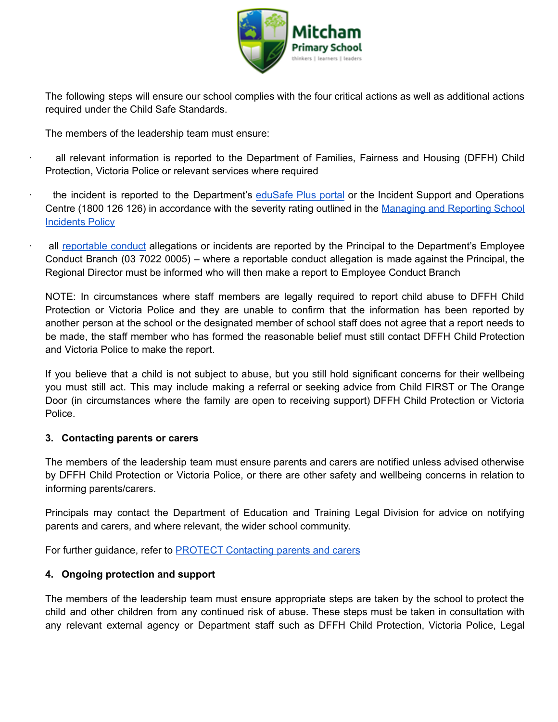

The following steps will ensure our school complies with the four critical actions as well as additional actions required under the Child Safe Standards.

The members of the leadership team must ensure:

- all relevant information is reported to the Department of Families, Fairness and Housing (DFFH) Child Protection, Victoria Police or relevant services where required
- the incident is reported to the Department's [eduSafe](https://services.educationapps.vic.gov.au/edusafeplus) Plus portal or the Incident Support and Operations Centre (1800 126 126) in accordance with the severity rating outlined in the [Managing](https://www2.education.vic.gov.au/pal/reporting-and-managing-school-incidents-including-emergencies/policy) and Reporting School **[Incidents](https://www2.education.vic.gov.au/pal/reporting-and-managing-school-incidents-including-emergencies/policy) Policy**
- all [reportable](https://www2.education.vic.gov.au/pal/reportable-conduct-scheme/policy) conduct allegations or incidents are reported by the Principal to the Department's Employee Conduct Branch (03 7022 0005) – where a reportable conduct allegation is made against the Principal, the Regional Director must be informed who will then make a report to Employee Conduct Branch

NOTE: In circumstances where staff members are legally required to report child abuse to DFFH Child Protection or Victoria Police and they are unable to confirm that the information has been reported by another person at the school or the designated member of school staff does not agree that a report needs to be made, the staff member who has formed the reasonable belief must still contact DFFH Child Protection and Victoria Police to make the report.

If you believe that a child is not subject to abuse, but you still hold significant concerns for their wellbeing you must still act. This may include making a referral or seeking advice from Child FIRST or The Orange Door (in circumstances where the family are open to receiving support) DFFH Child Protection or Victoria Police.

#### **3. Contacting parents or carers**

The members of the leadership team must ensure parents and carers are notified unless advised otherwise by DFFH Child Protection or Victoria Police, or there are other safety and wellbeing concerns in relation to informing parents/carers.

Principals may contact the Department of Education and Training Legal Division for advice on notifying parents and carers, and where relevant, the wider school community.

For further guidance, refer to **PROTECT** [Contacting](https://www.education.vic.gov.au/school/teachers/health/childprotection/Pages/actionthree.aspx) parents and carers

#### **4. Ongoing protection and support**

The members of the leadership team must ensure appropriate steps are taken by the school to protect the child and other children from any continued risk of abuse. These steps must be taken in consultation with any relevant external agency or Department staff such as DFFH Child Protection, Victoria Police, Legal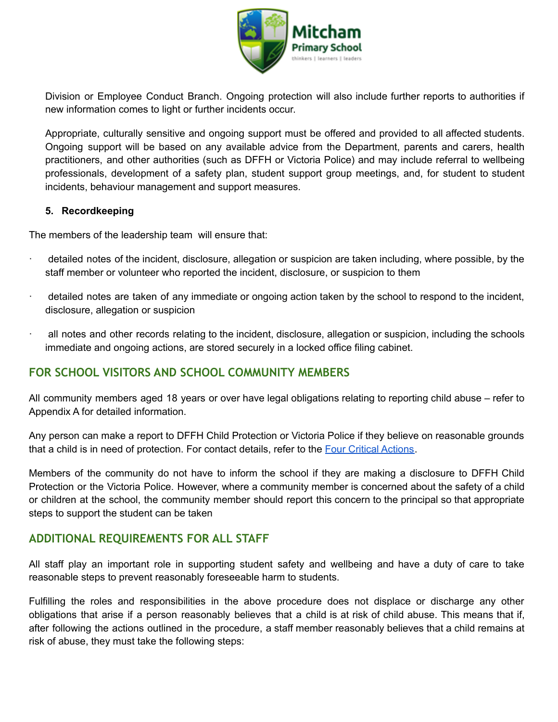

Division or Employee Conduct Branch. Ongoing protection will also include further reports to authorities if new information comes to light or further incidents occur.

Appropriate, culturally sensitive and ongoing support must be offered and provided to all affected students. Ongoing support will be based on any available advice from the Department, parents and carers, health practitioners, and other authorities (such as DFFH or Victoria Police) and may include referral to wellbeing professionals, development of a safety plan, student support group meetings, and, for student to student incidents, behaviour management and support measures.

#### **5. Recordkeeping**

The members of the leadership team will ensure that:

- detailed notes of the incident, disclosure, allegation or suspicion are taken including, where possible, by the staff member or volunteer who reported the incident, disclosure, or suspicion to them
- · detailed notes are taken of any immediate or ongoing action taken by the school to respond to the incident, disclosure, allegation or suspicion
- · all notes and other records relating to the incident, disclosure, allegation or suspicion, including the schools immediate and ongoing actions, are stored securely in a locked office filing cabinet.

# **FOR SCHOOL VISITORS AND SCHOOL COMMUNITY MEMBERS**

All community members aged 18 years or over have legal obligations relating to reporting child abuse – refer to Appendix A for detailed information.

Any person can make a report to DFFH Child Protection or Victoria Police if they believe on reasonable grounds that a child is in need of protection. For contact details, refer to the Four Critical [Actions](https://www.education.vic.gov.au/Documents/about/programs/health/protect/FourCriticalActions_ChildAbuse.pdf).

Members of the community do not have to inform the school if they are making a disclosure to DFFH Child Protection or the Victoria Police. However, where a community member is concerned about the safety of a child or children at the school, the community member should report this concern to the principal so that appropriate steps to support the student can be taken

## **ADDITIONAL REQUIREMENTS FOR ALL STAFF**

All staff play an important role in supporting student safety and wellbeing and have a duty of care to take reasonable steps to prevent reasonably foreseeable harm to students.

Fulfilling the roles and responsibilities in the above procedure does not displace or discharge any other obligations that arise if a person reasonably believes that a child is at risk of child abuse. This means that if, after following the actions outlined in the procedure, a staff member reasonably believes that a child remains at risk of abuse, they must take the following steps: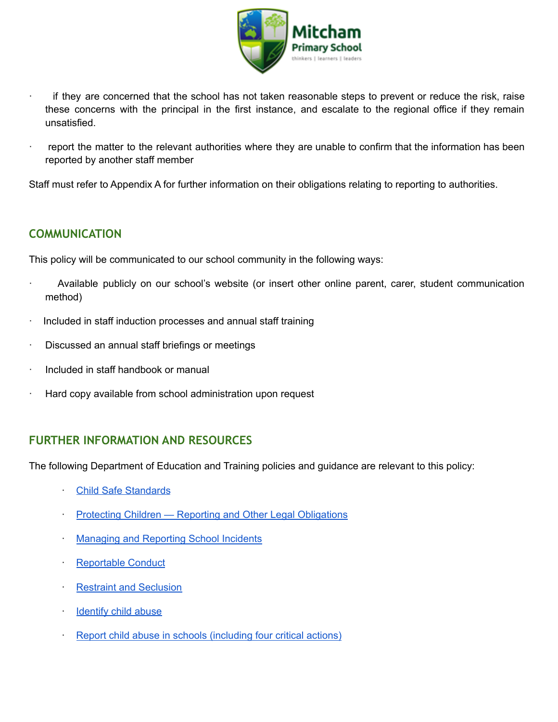

- if they are concerned that the school has not taken reasonable steps to prevent or reduce the risk, raise these concerns with the principal in the first instance, and escalate to the regional office if they remain unsatisfied.
- report the matter to the relevant authorities where they are unable to confirm that the information has been reported by another staff member

Staff must refer to Appendix A for further information on their obligations relating to reporting to authorities.

## **COMMUNICATION**

This policy will be communicated to our school community in the following ways:

- · Available publicly on our school's website (or insert other online parent, carer, student communication method)
- Included in staff induction processes and annual staff training
- Discussed an annual staff briefings or meetings
- · Included in staff handbook or manual
- Hard copy available from school administration upon request

## **FURTHER INFORMATION AND RESOURCES**

The following Department of Education and Training policies and guidance are relevant to this policy:

- · Child Safe [Standards](https://www2.education.vic.gov.au/pal/child-safe-standards/policy)
- **Protecting Children Reporting and Other Legal [Obligations](https://www2.education.vic.gov.au/pal/protecting-children/policy)**
- [Managing](https://www2.education.vic.gov.au/pal/reporting-and-managing-school-incidents-including-emergencies/policy) and Reporting School Incidents
- [Reportable](https://www2.education.vic.gov.au/pal/reportable-conduct-scheme/policy) Conduct
- **Restraint and [Seclusion](https://www2.education.vic.gov.au/pal/restraint-seclusion/policy)**
- **[Identify](https://www.education.vic.gov.au/school/teachers/health/childprotection/Pages/identify.aspx) child abuse**
- Report child abuse in schools [\(including](https://www.education.vic.gov.au/school/teachers/health/childprotection/Pages/report.aspx) four critical actions)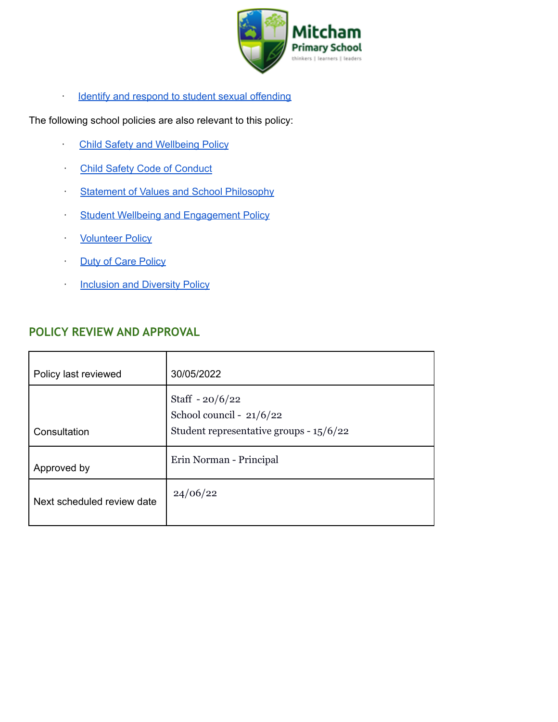

Identify and respond to student sexual [offending](https://www.education.vic.gov.au/school/teachers/health/childprotection/Pages/stusexual.aspx)

The following school policies are also relevant to this policy:

- **Child Safety and [Wellbeing](https://docs.google.com/document/d/19a6piCVBfTiSybQH-8Y6E9qnyJpr60Oh7w6Kxb4g6AQ/edit?usp=sharing) Policy**
- **Child Safety Code of [Conduct](https://docs.google.com/document/d/1Oi9hzvS7l3kcEcSV7WzL3vO6Qiia52R18ZpszAMMn8g/edit?usp=sharing)**
- **Statement of Values and School [Philosophy](https://drive.google.com/file/d/1U3MV6bG4bqCzR0ZK70-kMVA4Wrevopze/view?usp=sharing)**
- **Student Wellbeing and [Engagement](https://drive.google.com/file/d/1Eb1cb2puUM8RoajHMRhvex2lLvpuzdNO/view?usp=sharing) Policy**
- **[Volunteer](https://drive.google.com/file/d/1oI5JT1rwrgr_z4lL7Djffn4RjU_m1ViX/view?usp=sharing) Policy**
- **Duty of Care [Policy](https://drive.google.com/file/d/1hZJw_28l66ZUiHg6UmEQF0Az0jH_mjZE/view?usp=sharing)**
- **[Inclusion](https://drive.google.com/file/d/1GYJsG7A08Iskki7vmGxTEVUJCyNS3iPQ/view?usp=sharing) and Diversity Policy**

# **POLICY REVIEW AND APPROVAL**

| Policy last reviewed       | 30/05/2022                                                                                |
|----------------------------|-------------------------------------------------------------------------------------------|
| Consultation               | Staff $-20/6/22$<br>School council - 21/6/22<br>Student representative groups - $15/6/22$ |
| Approved by                | Erin Norman - Principal                                                                   |
| Next scheduled review date | 24/06/22                                                                                  |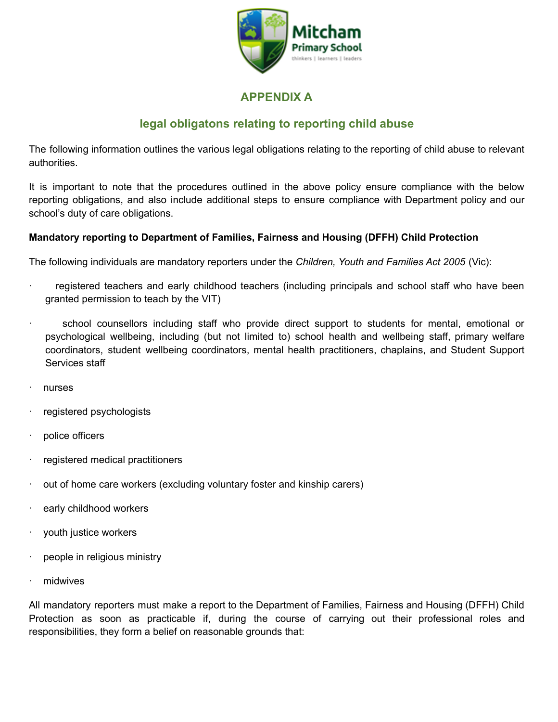

# **APPENDIX A**

# **legal obligatons relating to reporting child abuse**

The following information outlines the various legal obligations relating to the reporting of child abuse to relevant authorities.

It is important to note that the procedures outlined in the above policy ensure compliance with the below reporting obligations, and also include additional steps to ensure compliance with Department policy and our school's duty of care obligations.

#### **Mandatory reporting to Department of Families, Fairness and Housing (DFFH) Child Protection**

The following individuals are mandatory reporters under the *Children, Youth and Families Act 2005* (Vic):

- registered teachers and early childhood teachers (including principals and school staff who have been granted permission to teach by the VIT)
- school counsellors including staff who provide direct support to students for mental, emotional or psychological wellbeing, including (but not limited to) school health and wellbeing staff, primary welfare coordinators, student wellbeing coordinators, mental health practitioners, chaplains, and Student Support Services staff
- · nurses
- registered psychologists
- police officers
- · registered medical practitioners
- out of home care workers (excluding voluntary foster and kinship carers)
- early childhood workers
- youth justice workers
- people in religious ministry
- midwives

All mandatory reporters must make a report to the Department of Families, Fairness and Housing (DFFH) Child Protection as soon as practicable if, during the course of carrying out their professional roles and responsibilities, they form a belief on reasonable grounds that: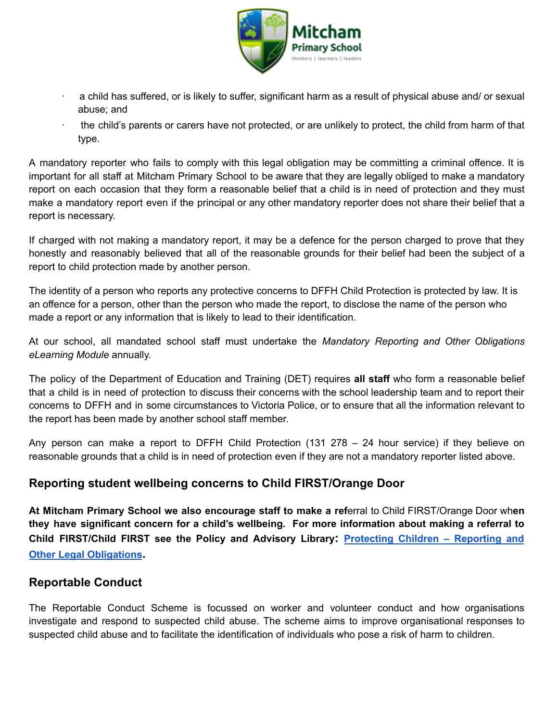

- a child has suffered, or is likely to suffer, significant harm as a result of physical abuse and/ or sexual abuse; and
- · the child's parents or carers have not protected, or are unlikely to protect, the child from harm of that type.

A mandatory reporter who fails to comply with this legal obligation may be committing a criminal offence. It is important for all staff at Mitcham Primary School to be aware that they are legally obliged to make a mandatory report on each occasion that they form a reasonable belief that a child is in need of protection and they must make a mandatory report even if the principal or any other mandatory reporter does not share their belief that a report is necessary.

If charged with not making a mandatory report, it may be a defence for the person charged to prove that they honestly and reasonably believed that all of the reasonable grounds for their belief had been the subject of a report to child protection made by another person.

The identity of a person who reports any protective concerns to DFFH Child Protection is protected by law. It is an offence for a person, other than the person who made the report, to disclose the name of the person who made a report or any information that is likely to lead to their identification.

At our school, all mandated school staff must undertake the *Mandatory Reporting and Other Obligations eLearning Module* annually.

The policy of the Department of Education and Training (DET) requires **all staff** who form a reasonable belief that a child is in need of protection to discuss their concerns with the school leadership team and to report their concerns to DFFH and in some circumstances to Victoria Police, or to ensure that all the information relevant to the report has been made by another school staff member.

Any person can make a report to DFFH Child Protection (131 278 – 24 hour service) if they believe on reasonable grounds that a child is in need of protection even if they are not a mandatory reporter listed above.

# **Reporting student wellbeing concerns to Child FIRST/Orange Door**

**At Mitcham Primary School we also encourage staff to make a ref**erral to Child FIRST/Orange Door wh**en they have significant concern for a child's wellbeing. For more information about making a referral to Child FIRST/Child FIRST see the Policy and Advisory Library: [Protecting](https://www2.education.vic.gov.au/pal/protecting-children/policy) Children – Reporting and Other Legal [Obligations](https://www2.education.vic.gov.au/pal/protecting-children/policy).**

## **Reportable Conduct**

The Reportable Conduct Scheme is focussed on worker and volunteer conduct and how organisations investigate and respond to suspected child abuse. The scheme aims to improve organisational responses to suspected child abuse and to facilitate the identification of individuals who pose a risk of harm to children.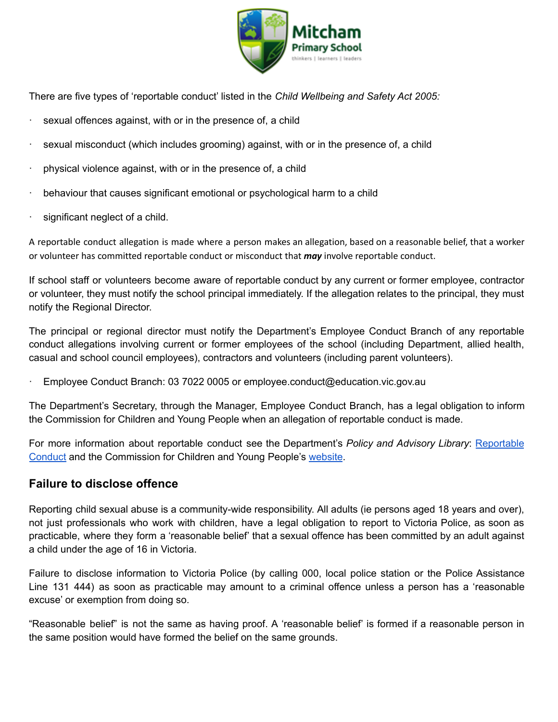

There are five types of 'reportable conduct' listed in the *Child Wellbeing and Safety Act 2005:*

- sexual offences against, with or in the presence of, a child
- sexual misconduct (which includes grooming) against, with or in the presence of, a child
- physical violence against, with or in the presence of, a child
- behaviour that causes significant emotional or psychological harm to a child
- significant neglect of a child.

A reportable conduct allegation is made where a person makes an allegation, based on a reasonable belief, that a worker or volunteer has committed reportable conduct or misconduct that *may* involve reportable conduct.

If school staff or volunteers become aware of reportable conduct by any current or former employee, contractor or volunteer, they must notify the school principal immediately. If the allegation relates to the principal, they must notify the Regional Director.

The principal or regional director must notify the Department's Employee Conduct Branch of any reportable conduct allegations involving current or former employees of the school (including Department, allied health, casual and school council employees), contractors and volunteers (including parent volunteers).

· Employee Conduct Branch: 03 7022 0005 or employee.conduct@education.vic.gov.au

The Department's Secretary, through the Manager, Employee Conduct Branch, has a legal obligation to inform the Commission for Children and Young People when an allegation of reportable conduct is made.

For more information about reportable conduct see the Department's *Policy and Advisory Library*: [Reportable](https://www2.education.vic.gov.au/pal/reportable-conduct-scheme/policy) [Conduct](https://www2.education.vic.gov.au/pal/reportable-conduct-scheme/policy) and the Commission for Children and Young People's [website](https://ccyp.vic.gov.au/reportable-conduct-scheme/).

#### **Failure to disclose offence**

Reporting child sexual abuse is a community-wide responsibility. All adults (ie persons aged 18 years and over), not just professionals who work with children, have a legal obligation to report to Victoria Police, as soon as practicable, where they form a 'reasonable belief' that a sexual offence has been committed by an adult against a child under the age of 16 in Victoria.

Failure to disclose information to Victoria Police (by calling 000, local police station or the Police Assistance Line 131 444) as soon as practicable may amount to a criminal offence unless a person has a 'reasonable excuse' or exemption from doing so.

"Reasonable belief" is not the same as having proof. A 'reasonable belief' is formed if a reasonable person in the same position would have formed the belief on the same grounds.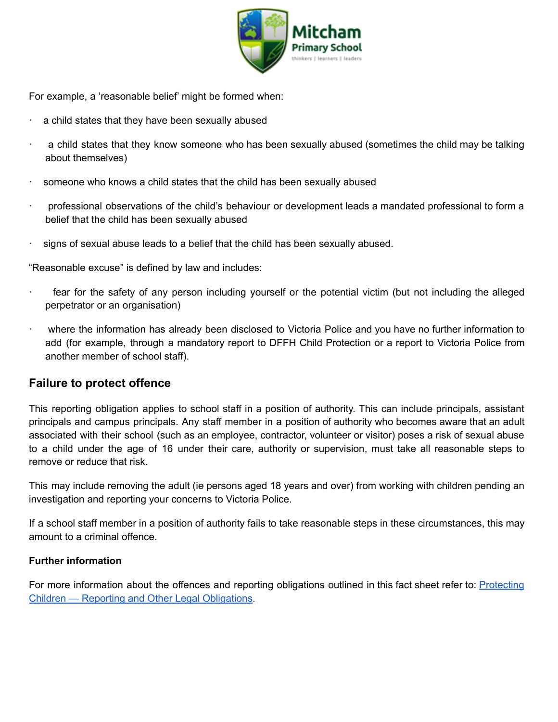

For example, a 'reasonable belief' might be formed when:

- a child states that they have been sexually abused
- a child states that they know someone who has been sexually abused (sometimes the child may be talking about themselves)
- someone who knows a child states that the child has been sexually abused
- · professional observations of the child's behaviour or development leads a mandated professional to form a belief that the child has been sexually abused
- signs of sexual abuse leads to a belief that the child has been sexually abused.

"Reasonable excuse" is defined by law and includes:

- fear for the safety of any person including yourself or the potential victim (but not including the alleged perpetrator or an organisation)
- · where the information has already been disclosed to Victoria Police and you have no further information to add (for example, through a mandatory report to DFFH Child Protection or a report to Victoria Police from another member of school staff).

# **Failure to protect offence**

This reporting obligation applies to school staff in a position of authority. This can include principals, assistant principals and campus principals. Any staff member in a position of authority who becomes aware that an adult associated with their school (such as an employee, contractor, volunteer or visitor) poses a risk of sexual abuse to a child under the age of 16 under their care, authority or supervision, must take all reasonable steps to remove or reduce that risk.

This may include removing the adult (ie persons aged 18 years and over) from working with children pending an investigation and reporting your concerns to Victoria Police.

If a school staff member in a position of authority fails to take reasonable steps in these circumstances, this may amount to a criminal offence.

#### **Further information**

For more information about the offences and reporting obligations outlined in this fact sheet refer to: [Protecting](https://www2.education.vic.gov.au/pal/protecting-children/policy) Children — Reporting and Other Legal [Obligations](https://www2.education.vic.gov.au/pal/protecting-children/policy).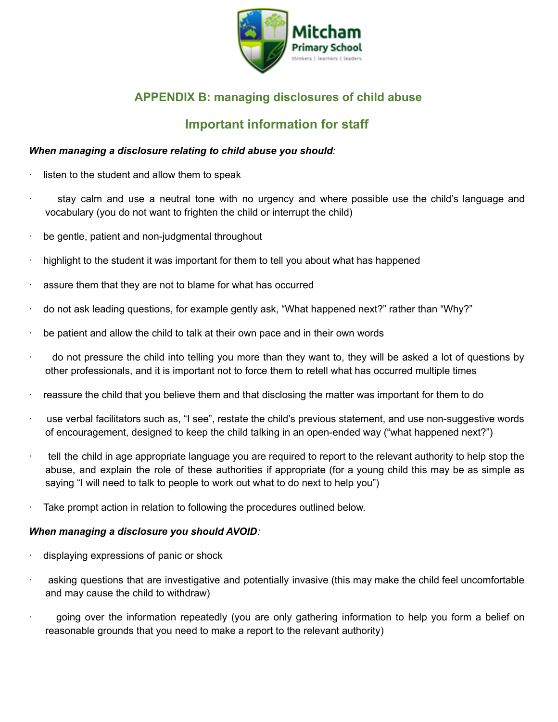

# **APPENDIX B: managing disclosures of child abuse**

# **Important information for staff**

#### *When managing a disclosure relating to child abuse you should:*

- listen to the student and allow them to speak
- stay calm and use a neutral tone with no urgency and where possible use the child's language and vocabulary (you do not want to frighten the child or interrupt the child)
- be gentle, patient and non-judgmental throughout
- highlight to the student it was important for them to tell you about what has happened
- assure them that they are not to blame for what has occurred
- · do not ask leading questions, for example gently ask, "What happened next?" rather than "Why?"
- be patient and allow the child to talk at their own pace and in their own words
- · do not pressure the child into telling you more than they want to, they will be asked a lot of questions by other professionals, and it is important not to force them to retell what has occurred multiple times
- reassure the child that you believe them and that disclosing the matter was important for them to do
- use verbal facilitators such as, "I see", restate the child's previous statement, and use non-suggestive words of encouragement, designed to keep the child talking in an open-ended way ("what happened next?")
- · tell the child in age appropriate language you are required to report to the relevant authority to help stop the abuse, and explain the role of these authorities if appropriate (for a young child this may be as simple as saying "I will need to talk to people to work out what to do next to help you")
- Take prompt action in relation to following the procedures outlined below.

#### *When managing a disclosure you should AVOID:*

- displaying expressions of panic or shock
- asking questions that are investigative and potentially invasive (this may make the child feel uncomfortable and may cause the child to withdraw)
- · going over the information repeatedly (you are only gathering information to help you form a belief on reasonable grounds that you need to make a report to the relevant authority)